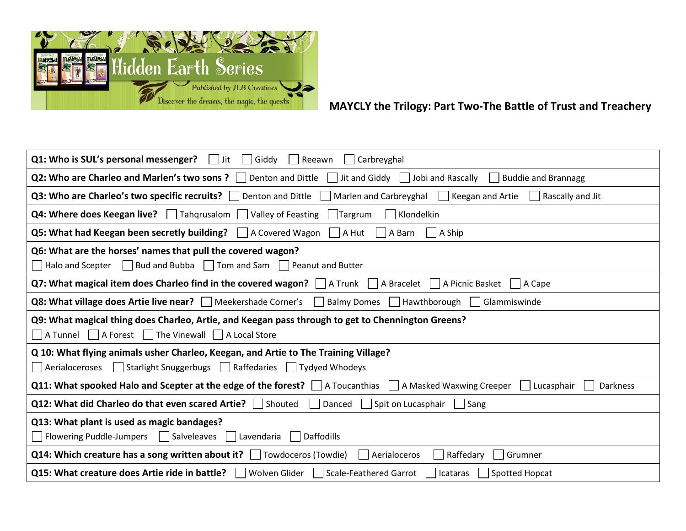

## MAYCLY the Trilogy: Part Two-The Battle of Trust and Treachery

| <b>Q1: Who is SUL's personal messenger?</b> $\vert \cdot \vert$ Jit $\vert \cdot \vert$ Giddy $\vert \cdot \vert$ Reeawn<br>  Carbreyghal                       |
|-----------------------------------------------------------------------------------------------------------------------------------------------------------------|
| <b>Q2: Who are Charleo and Marlen's two sons ?</b> $\Box$ Denton and Dittle $\Box$ Jit and Giddy $\Box$ Jobi and Rascally $\Box$<br>$\vert$ Buddie and Brannagg |
| Q3: Who are Charleo's two specific recruits? Denton and Dittle Marlen and Carbreyghal Keegan and Artie<br>$\vert$ Rascally and Jit                              |
| <b>Q4: Where does Keegan live?</b>   Tahqrusalom   Valley of Feasting  <br>Klondelkin<br>Targrum                                                                |
| <b>Q5: What had Keegan been secretly building?</b>   A Covered Wagon   A Hut<br>A Barn<br>$\vert$ A Ship                                                        |
| Q6: What are the horses' names that pull the covered wagon?<br>    Halo and Scepter   Bud and Bubba   Tom and Sam   Peanut and Butter                           |
| <b>Q7: What magical item does Charleo find in the covered wagon?</b>   A Trunk   A Bracelet   A Picnic Basket<br>$\vert$ A Cape                                 |
| <b>Q8: What village does Artie live near?</b>   Meekershade Corner's  <br>Balmy Domes   Hawthborough   Glammiswinde                                             |
| Q9: What magical thing does Charleo, Artie, and Keegan pass through to get to Chennington Greens?<br>A Tunnel A Forest The Vinewall A Local Store               |
| Q 10: What flying animals usher Charleo, Keegan, and Artie to The Training Village?<br>△ Aerialoceroses △ Larlight Snuggerbugs △ Larffedaries △ Tydyed Whodeys  |
| <b>Q11: What spooked Halo and Scepter at the edge of the forest?</b> $\Box$ A Toucanthias $\Box$ A Masked Waxwing Creeper<br>Darkness<br>  Lucasphair           |
| Q12: What did Charleo do that even scared Artie?   Shouted   Danced   Spit on Lucasphair   Sang                                                                 |
| Q13: What plant is used as magic bandages?<br>$\Box$ Flowering Puddle-Jumpers $\Box$ Salveleaves $\Box$ Lavendaria<br>  Daffodills                              |
| Q14: Which creature has a song written about it? $\Box$ Towdoceros (Towdie)<br>  Aerialoceros<br>  Raffedary<br>    Grumner                                     |
| Q15: What creature does Artie ride in battle?     Wolven Glider   Scale-Feathered Garrot     Icataras   Spotted Hopcat                                          |